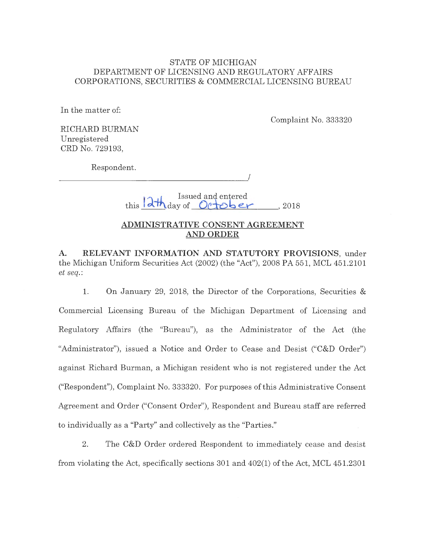# STATE OF MICHIGAN DEPARTMENT OF LICENSING AND REGULATORY AFFAIRS CORPORATIONS, SECURITIES & COMMERCIAL LICENSING BUREAU

In the matter of:

Complaint No. 333320

RICHARD BURMAN Unregistered CRD No. 729193,

Respondent.

*<u>l*<sub>**l**</sub> **b b c** *n*<br>*n* **e**<sub>*n***</sub>** *n* **e**<sub>*n***</sub>** *n* **e**<sub>*n***</sub>** *n* **e**</u></sub></sub></sub> , 2018

I

# **ADMINISTRATIVE CONSENT AGREEMENT AND ORDER**

**A. RELEVANT INFORMATION AND STATUTORY PROVISIONS,** under the Michigan Uniform Securities Act (2002) (the "Act"), 2008 PA 551, MCL 451.2101 *et seq.:* 

1. On January 29, 2018, the Director of the Corporations, Securities & Commercial Licensing Bureau of the Michigan Department of Licensing and Regulatory Affairs (the "Bureau"), as the Administrator of the Act (the "Administrator"), issued a Notice and Order to Cease and Desist ("C&D Order") against Richard Burman, a Michigan resident who is not registered under the Act ("Respondent"), Complaint No. 333320. For purposes of this Administrative Consent Agreement and Order ("Consent Order"), Respondent and Bureau staff are referred to individually as a "Party" and collectively as the "Parties."

2. The C&D Order ordered Respondent to immediately cease and desist from violating the Act, specifically sections 301 and 402(1) of the Act, MCL 451.2301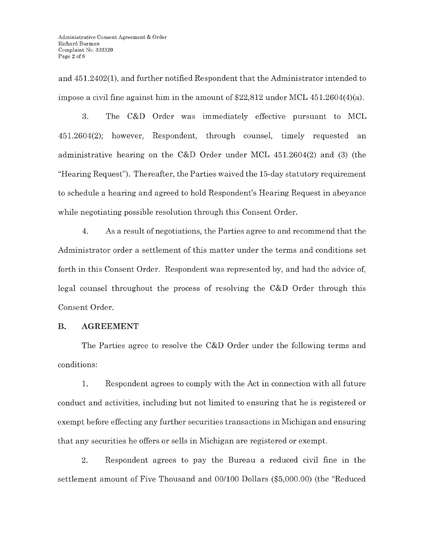and 451.2402(1), and further notified Respondent that the Administrator intended to impose a civil fine against him in the amount of \$22,812 under MCL 451.2604(4)(a).

3. The C&D Order was immediately effective pursuant to MCL 451.2604(2); however, Respondent, through counsel, timely requested an administrative hearing on the C&D Order under MCL 451.2604(2) and (3) (the "Hearing Request"). Thereafter, the Parties waived the 15-day statutory requirement to schedule a hearing and agreed to hold Respondent's Hearing Request in abeyance while negotiating possible resolution through this Consent Order.

4. As a result of negotiations, the Parties agree to and recommend that the Administrator order a settlement of this matter under the terms and conditions set forth in this Consent Order. Respondent was represented by, and had the advice of, legal counsel throughout the process of resolving the C&D Order through this Consent Order.

# **B. AGREEMENT**

The Parties agree to resolve the **C&D** Order under the following terms and conditions:

1. Respondent agrees to comply with the Act in connection with all future conduct and activities, including but not limited to ensuring that he is registered or exempt before effecting any further securities transactions in Michigan and ensuring that any securities he offers or sells in Michigan are registered or exempt.

2. Respondent agrees to pay the Bureau a reduced civil fine in the settlement amount of Five Thousand and 00/100 Dollars (\$5,000.00) (the "Reduced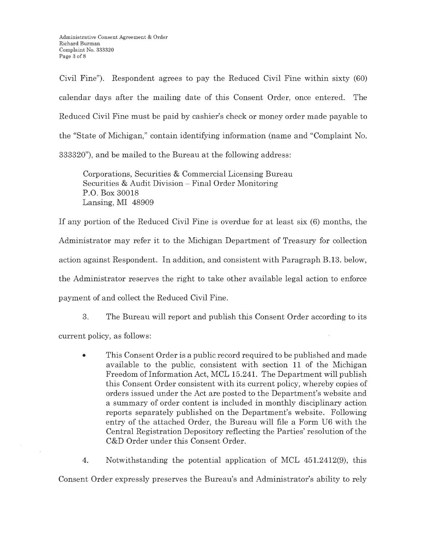Civil Fine"). Respondent agrees to pay the Reduced Civil Fine within sixty (60) calendar days after the mailing date of this Consent Order, once entered. The Reduced Civil Fine must be paid by cashier's check or money order made payable to the "State of Michigan," contain identifying information (name and "Complaint No. 333320"), and be mailed to the Bureau at the following address:

Corporations, Securities & Commercial Licensing Bureau Securities & Audit Division - Final Order Monitoring P.O. Box 30018 Lansing, MI 48909

If any portion of the Reduced Civil Fine is overdue for at least six (6) months, the Administrator may refer it to the Michigan Department of Treasury for collection action against Respondent. In addition, and consistent with Paragraph B.13. below, the Administrator reserves the right to take other available legal action to enforce payment of and collect the Reduced Civil Fine.

3. The Bureau will report and publish this Consent Order according to its current policy, as follows:

• This Consent Order is a public record required to be published and made available to the public, consistent with section **11** of the Michigan Freedom of Information Act, MCL 15.241. The Department will publish this Consent Order consistent with its current policy, whereby copies of orders issued under the Act are posted to the Department's website and a summary of order content is included in monthly disciplinary action reports separately published on the Department's website. Following entry of the attached Order, the Bureau will file a Form U6 with the Central Registration Depository reflecting the Parties' resolution of the C&D Order under this Consent Order.

4. Notwithstanding the potential application of MCL 451.2412(9), this Consent Order expressly preserves the Bureau's and Administrator's ability to rely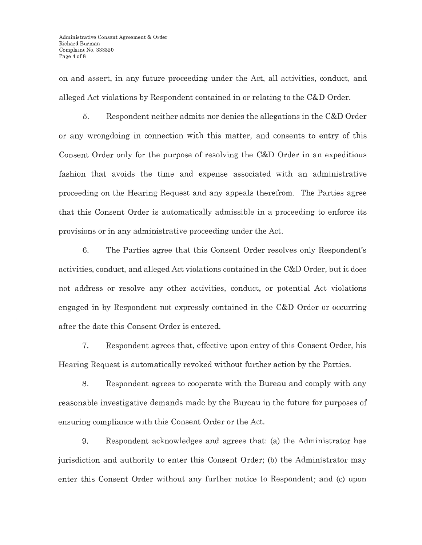on and assert, in any future proceeding under the Act, all activities, conduct, and alleged Act violations by Respondent contained in or relating to the C&D Order.

5. Respondent neither admits nor denies the allegations in the C&D Order or any wrongdoing in connection with this matter, and consents to entry of this Consent Order only for the purpose of resolving the C&D Order in an expeditious fashion that avoids the time and expense associated with an administrative proceeding on the Hearing Request and any appeals therefrom. The Parties agree that this Consent Order is automatically admissible in a proceeding to enforce its provisions or in any administrative proceeding under the Act.

6. The Parties agree that this Consent Order resolves only Respondent's activities, conduct, and alleged Act violations contained in the C&D Order, but it does not address or resolve any other activities, conduct, or potential Act violations engaged in by Respondent not expressly contained in the C&D Order or occurring after the date this Consent Order is entered.

7. Respondent agrees that, effective upon entry of this Consent Order, his Hearing Request is automatically revoked without further action by the Parties.

8. Respondent agrees to cooperate with the Bureau and comply with any reasonable investigative demands made by the Bureau in the future for purposes of ensuring compliance with this Consent Order or the Act.

9. Respondent acknowledges and agrees that: (a) the Administrator has jurisdiction and authority to enter this Consent Order; (b) the Administrator may enter this Consent Order without any further notice to Respondent; and (c) upon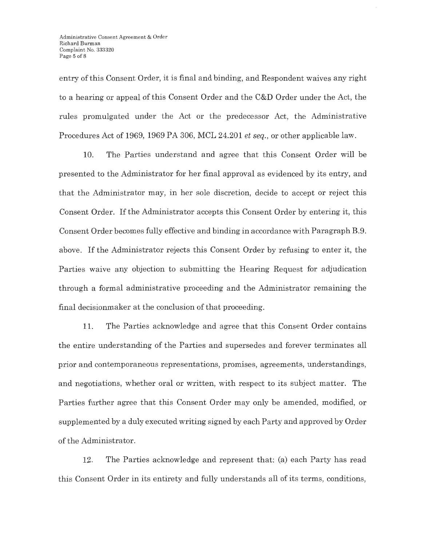entry of this Consent Order, it is final and binding, and Respondent waives any right to a hearing or appeal of this Consent Order and the C&D Order under the Act, the rules promulgated under the Act or the predecessor Act, the Administrative Procedures Act of 1969, 1969 PA 306, MCL 24.201 *et seq.,* or other applicable law.

10. The Parties understand and agree that this Consent Order will be presented to the Administrator for her final approval as evidenced by its entry, and that the Administrator may, in her sole discretion, decide to accept or reject this Consent Order. If the Administrator accepts this Consent Order by entering it, this Consent Order becomes fully effective and binding in accordance with Paragraph B.9. above. If the Administrator rejects this Consent Order by refusing to enter it, the Parties waive any objection to submitting the Hearing Request for adjudication through a formal administrative proceeding and the Administrator remaining the final decisionmaker at the conclusion of that proceeding.

11. The Parties acknowledge and agree that this Consent Order contains the entire understanding of the Parties and supersedes and forever terminates all prior and contemporaneous representations, promises, agreements, understandings, and negotiations, whether oral or written, with respect to its subject matter. The Parties further agree that this Consent Order may only be amended, modified, or supplemented by a duly executed writing signed by each Party and approved by Order of the Administrator.

12. The Parties acknowledge and represent that: (a) each Party has read this Consent Order in its entirety and fully understands all of its terms, conditions,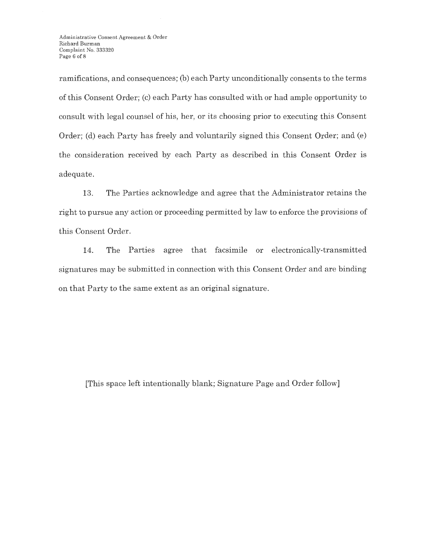ramifications, and consequences; (b) each Party unconditionally consents to the terms of this Consent Order; (c) each Party has consulted with or had ample opportunity to consult with legal counsel of his, her, or its choosing prior to executing this Consent Order; (d) each Party has freely and voluntarily signed this Consent Order; and (e) the consideration received by each Party as described in this Consent Order is adequate.

13. The Parties acknowledge and agree that the Administrator retains the right to pursue any action or proceeding permitted by law to enforce the provisions of this Consent Order.

14. The Parties agree that facsimile or electronically-transmitted signatures may be submitted in connection with this Consent Order and are binding on that Party to the same extent as an original signature.

[This space left intentionally blank; Signature Page and Order follow]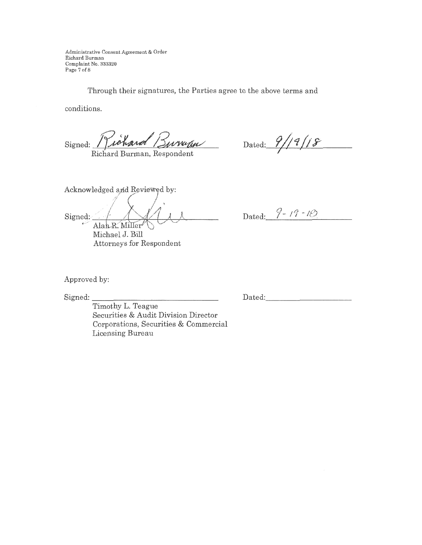Administxative Consent Agreement & O.rder Richard Burman Complaint No. 333320 Page 7 of 8

Through their signatures, the Parties agree to the above terms and

conditions.

Signed:

Richard Burman, Respondent

 $\Delta$ Dated:  $\frac{9}{1}$  | 1  $\frac{8}{1}$  | 1  $\frac{8}{1}$  | 1  $\frac{8}{1}$  | 1  $\frac{8}{1}$  | 1  $\frac{8}{1}$  | 1 ~·

Acknowledged and Reviewed by: Signed: Alah R. Miller Michael J. Bill Attorneys for Respondent

Dated:  $9 - 19 - 18$ .

Approved by:

Signed: \_\_\_\_\_\_\_\_\_\_\_\_\_\_ \_

Dated: \_\_\_\_\_\_\_\_\_ \_

Timothy L. Teague Securities & Audit Division Director Corporations, Securities & Commercial Licensing Bureau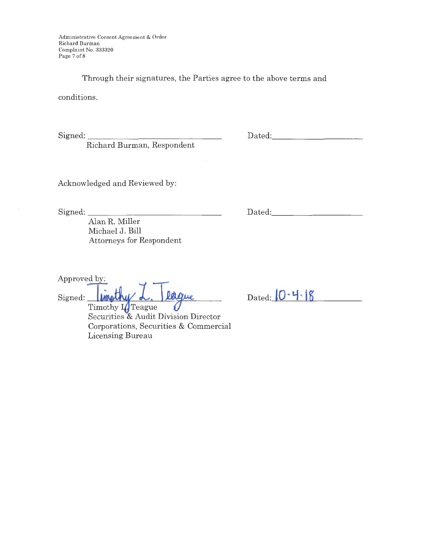Administrative Consent Agreement & Order Richard Burman Complaint No. 333320 Page 7 of 8

Through their signatures, the Parties agree to the above terms and

conditions.

Signed: \_\_\_\_\_\_\_\_\_\_\_\_\_ \_

Richard Burman, Respondent

Dated:

Acknowledged and Reviewed by:

Signed:

Alan R. Miller Michael J. Bill Attorneys for Respondent

Approved by:<br>Signed: **Impthy L. Teague** Securities & Audit Division Director Corporations, Securities & Commercial Licensing Bureau

Dated: \_\_\_\_\_\_\_\_\_ \_

Dated:  $0.48$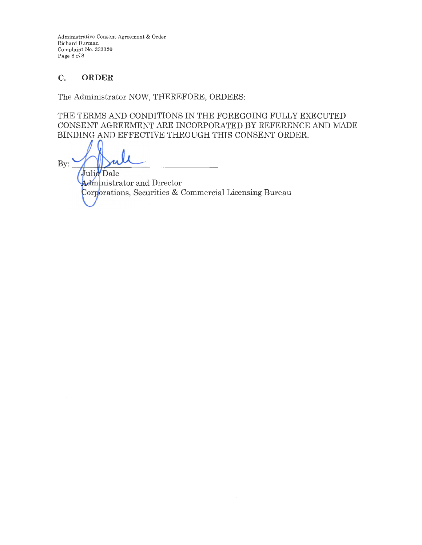Administrative Consent Agreement & Order Richard Burman Complaint No. 333320 Page 8 of 8

# **C. ORDER**

The Administrator NOW, THEREFORE, ORDERS:

THE TERMS AND CONDITIONS IN THE FOREGOING FULLY EXECUTED CONSENT AGREEMENT ARE INCORPORATED BY REFERENCE AND MADE BINDING AND EFFECTIVE THROUGH THIS CONSENT ORDER.

Bv: Julia Dale

Administrator and Director Corporations, Securities & Commercial Licensing Bureau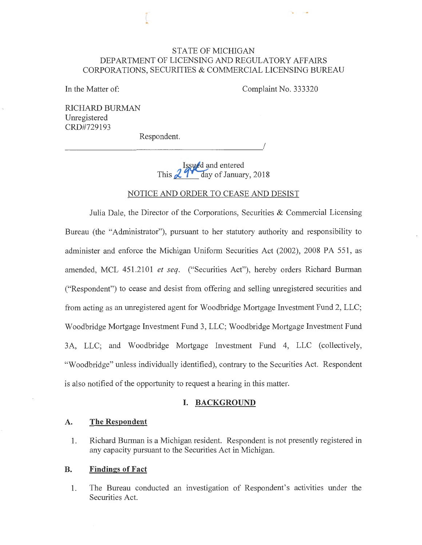## STATE OF MICHIGAN DEPARTMENT OF LICENSING AND REGULATORY AFFAIRS CORPORATIONS, SECURITIES & COMMERCIAL LICENSING BUREAU

In the Matter of:

Complaint No. 333320

I

RICHARD BURMAN Unregistered CRD#729193

Respondent.

**Issued** and entered This **29<sup>***M***</sup>** day of January, 2018

### NOTICE AND ORDER TO CEASE AND DESIST

Julia Dale, the Director of the Corporations, Securities & Commercial Licensing Bureau (the "Administrator"), pursuant to her statutory authority and responsibility to administer and enforce the Michigan Uniform Securities Act (2002), 2008 PA 551, as amended, MCL 451.2101 *et seq.* ("Securities Act"), hereby orders Richard Burman ("Respondent") to cease and desist from offering and selling unregistered securities and from acting as an unregistered agent for Woodbridge Mortgage Investment Fund 2, LLC; Woodbridge Mortgage Investment Fund 3, LLC; Woodbridge Mortgage Investment Fund 3A, LLC; and Woodbridge Mortgage Investment Fund 4, LLC (collectively, "Woodbridge" unless individually identified), contrary to the Securities Act. Respondent is also notified of the opportunity to request a hearing in this matter.

### **I. BACKGROUND**

#### **A. The Respondent**

**1.** Richard Burman is a Michigan resident. Respondent is not presently registered in any capacity pursuant to the Securities Act in Michigan.

#### **B. Findings of Fact**

**1.** The Bureau conducted an investigation of Respondent's activities under the Securities Act.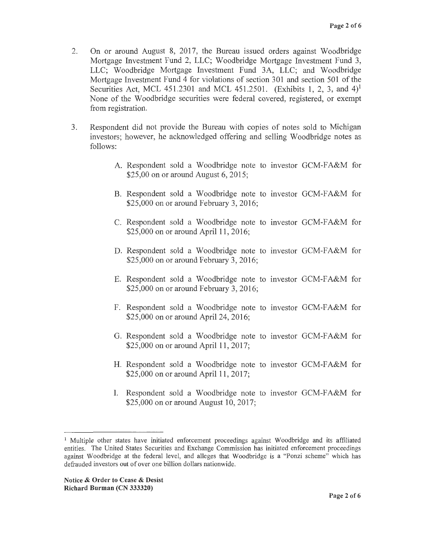- 2. On or around August 8, 2017, the Bureau issued orders against Woodbridge Mortgage Investment Fund 2, LLC; Woodbridge Mortgage Investment Fund 3, LLC; Woodbridge Mortgage Investment Fund 3A, LLC; and Woodbridge Mortgage Investment Fund 4 for violations of section 301 and section 501 of the Securities Act, MCL 451.2301 and MCL 451.2501. (Exhibits 1, 2, 3, and  $4$ )<sup>1</sup> None of the Woodbridge securities were federal covered, registered, or exempt from registration.
- 3. Respondent did not provide the Bureau with copies of notes sold to Michigan investors; however, he acknowledged offering and selling Woodbridge notes as follows:
	- A. Respondent sold a Woodbridge note to investor GCM-FA&M for \$25,00 on or around August 6, 2015;
	- B. Respondent sold a Woodbridge note to investor GCM-FA&M for \$25,000 on or around February 3, 2016;
	- C. Respondent sold a Woodbridge note to investor GCM-FA&M for \$25,000 on or around April 11, 2016;
	- D. Respondent sold a Woodbridge note to investor GCM-FA&M for \$25,000 on or around February 3, 2016;
	- E. Respondent sold a Woodbridge note to investor GCM-FA&M for \$25,000 on or around February 3, 2016;
	- F. Respondent sold a Woodbridge note to investor GCM-FA&M for \$25,000 on or around April 24, 2016;
	- G. Respondent sold a Woodbridge note to investor GCM-FA&M for \$25,000 on or around April 11, 2017;
	- H. Respondent sold a Woodbridge note to investor GCM-FA&M for \$25,000 on or around April 11, 2017;
	- I. Respondent sold a Woodbridge note to investor GCM-FA&M for \$25,000 on or around August 10, 2017;

<sup>&</sup>lt;sup>1</sup> Multiple other states have initiated enforcement proceedings against Woodbridge and its affiliated entities. The United States Securities and Exchange Commission has initiated enforcement proceedings against Woodbridge at the federal level, and alleges that Woodbridge is a "Ponzi scheme" which has defrauded investors out of over one billion dollars nationwide.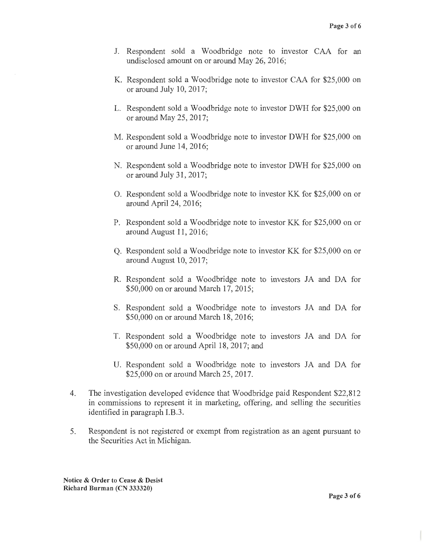- J. Respondent sold a Woodbridge note to investor CAA for an undisclosed amount on or around May 26, 2016;
- K. Respondent sold a Woodbridge note to investor CAA for \$25,000 on or around July 10, 2017;
- L. Respondent sold a Woodbridge note to investor DWH for \$25,000 on or around May 25, 2017;
- M. Respondent sold a Woodbridge note to investor DWH for \$25,000 on or around June 14, 2016;
- N. Respondent sold a Woodbridge note to investor DWH for \$25,000 on or around July 31, 2017;
- **0 .** Respondent sold a Woodbridge note to investor KK for \$25,000 on or around April 24, 2016;
- **P.** Respondent sold a Woodbridge note to investor KK for \$25,000 on or around August 11, 2016;
- **Q.** Respondent sold a Woodbridge note to investor KK for \$25,000 on or around August 10, 2017;
- **R.** Respondent sold a Woodbridge note to investors JA and DA for \$50,000 on or around March 17, 2015;
- S. Respondent sold a Woodbridge note to investors JA and DA for \$50,000 on or around March 18, 2016;
- T. Respondent sold a Woodbridge note to investors JA and DA for \$50,000 on or around April 18, 2017; and
- U. Respondent sold a Woodbridge note to investors JA and DA for \$25,000 on or around March 25, 2017.
- 4. The investigation developed evidence that Woodbridge paid Respondent \$22,812 in commissions to represent it in marketing, offering, and selling the securities identified in paragraph I.B.3.
- 5. Respondent is not registered or exempt from registration as an agent pursuant to the Securities Act in Michigan.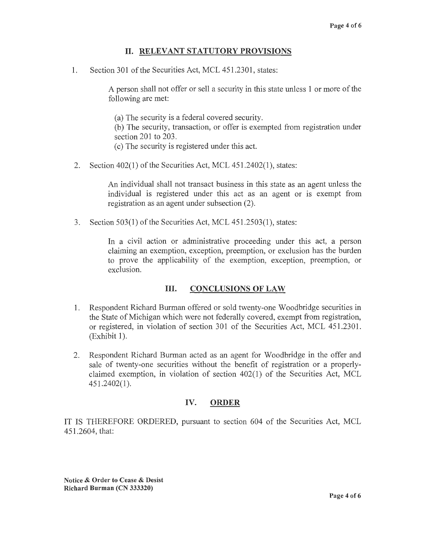# II. **RELEVANT STATUTORY PROVISIONS**

1. Section 301 of the Securities Act, MCL 451.2301, states:

A person shall not offer or sell a security in this state unless 1 or more of the following are met:

(a) The security is a federal covered security. (b) The security, transaction, or offer is exempted from registration under

- section 201 to 203.
- ( c) The security is registered under this act.
- 2. Section 402(1) of the Securities Act, MCL 451.2402(1), states:

An individual shall not transact business in this state as an agent unless the individual is registered under this act as an agent or is exempt from registration as an agent under subsection (2).

3. Section 503(1) of the Securities Act, MCL 451.2503(1), states:

In a civil action or administrative proceeding under this act, a person claiming an exemption, exception, preemption, or exclusion has the burden to prove the applicability of the exemption, exception, preemption, or exclusion.

# III. **CONCLUSIONS OF LAW**

- 1. Respondent Richard Burman offered or sold twenty-one Woodbridge securities in the State of Michigan which were not federally covered, exempt from registration, or registered, in violation of section 301 of the Securities Act, MCL 451.2301.  $(Exhibit 1).$
- 2. Respondent Richard Burman acted as an agent for Woodbridge in the offer and sale of twenty-one securities without the benefit of registration or a properlyclaimed exemption, in violation of section 402(1) of the Securities Act, MCL 451.2402(1 ).

# **IV. ORDER**

IT IS THEREFORE ORDERED, pursuant to section 604 of the Securities Act, MCL 451.2604, that: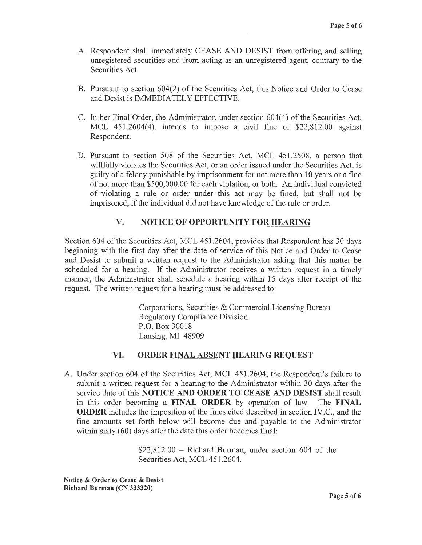- A. Respondent shall immediately CEASE AND DESIST from offering and selling unregistered securities and from acting as an unregistered agent, contrary to the Securities Act.
- B. Pursuant to section 604(2) of the Securities Act, this Notice and Order to Cease and Desist is IMMEDIATELY EFFECTIVE.
- C. In her Final Order, the Administrator, under section 604(4) of the Securities Act, MCL 451.2604(4), intends to impose a civil fine of \$22,812.00 against Respondent.
- D. Pursuant to section 508 of the Securities Act, MCL 451.2508, a person that willfully violates the Securities Act, or an order issued under the Securities Act, is guilty of a felony punishable by imprisonment for not more than 10 years or a fine of not more than \$500,000.00 for each violation, or both. An individual convicted of violating a rule or order under this act may be fined, but shall not be imprisoned, if the individual did not have knowledge of the rule or order.

# **V. NOTICE OF OPPORTUNITY FOR HEARING**

Section 604 of the Securities Act, MCL 451.2604, provides that Respondent has 30 days beginning with the first day after the date of service of this Notice and Order to Cease and Desist to submit a written request to the Administrator asking that this matter be scheduled for a hearing. If the Administrator receives a written request in a timely manner, the Administrator shall schedule a hearing within 15 days after receipt of the request. The written request for a hearing must be addressed to:

> Corporations, Securities & Commercial Licensing Bureau Regulatory Compliance Division P.O. Box 30018 Lansing, MI 48909

#### **VI. ORDER FINAL ABSENT HEARING REQUEST**

A. Under section 604 of the Securities Act, MCL 451.2604, the Respondent's failure to submit a written request for a hearing to the Administrator within 30 days after the service date of this **NOTICE AND ORDER TO CEASE AND DESIST** shall result in this order becoming a **FINAL ORDER** by operation of law. The **FINAL ORDER** includes the imposition of the fines cited described in section IV.C., and the fine amounts set forth below will become due and payable to the Administrator within sixty (60) days after the date this order becomes final:

> $$22,812.00$  - Richard Burman, under section 604 of the Securities Act, MCL 451.2604.

**Notice** & **Order to Cease** & **Desist Richard Burman (CN 333320)**